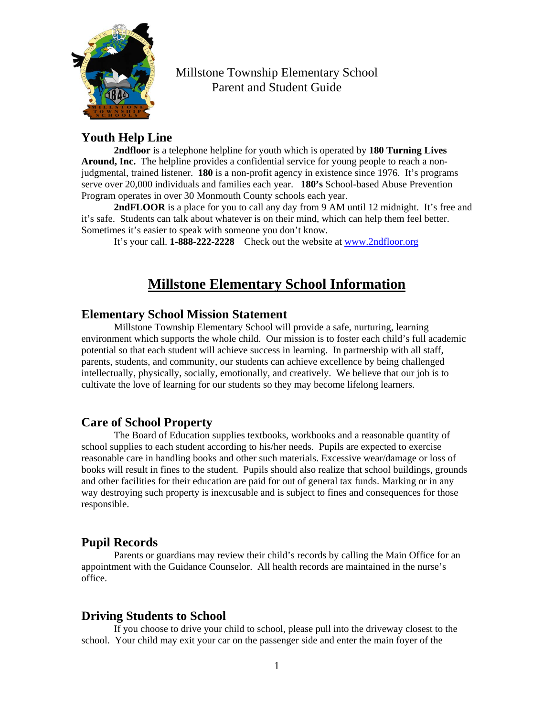

# Millstone Township Elementary School Parent and Student Guide

# **Youth Help Line**

**2ndfloor** is a telephone helpline for youth which is operated by **180 Turning Lives Around, Inc.** The helpline provides a confidential service for young people to reach a nonjudgmental, trained listener. **180** is a non-profit agency in existence since 1976. It's programs serve over 20,000 individuals and families each year. **180's** School-based Abuse Prevention Program operates in over 30 Monmouth County schools each year.

**2ndFLOOR** is a place for you to call any day from 9 AM until 12 midnight. It's free and it's safe. Students can talk about whatever is on their mind, which can help them feel better. Sometimes it's easier to speak with someone you don't know.

It's your call. **1-888-222-2228** Check out the website at [www.2ndfloor.org](http://www.2ndfloor.org/)

# **Millstone Elementary School Information**

# **Elementary School Mission Statement**

Millstone Township Elementary School will provide a safe, nurturing, learning environment which supports the whole child. Our mission is to foster each child's full academic potential so that each student will achieve success in learning. In partnership with all staff, parents, students, and community, our students can achieve excellence by being challenged intellectually, physically, socially, emotionally, and creatively. We believe that our job is to cultivate the love of learning for our students so they may become lifelong learners.

# **Care of School Property**

The Board of Education supplies textbooks, workbooks and a reasonable quantity of school supplies to each student according to his/her needs. Pupils are expected to exercise reasonable care in handling books and other such materials. Excessive wear/damage or loss of books will result in fines to the student. Pupils should also realize that school buildings, grounds and other facilities for their education are paid for out of general tax funds. Marking or in any way destroying such property is inexcusable and is subject to fines and consequences for those responsible.

# **Pupil Records**

Parents or guardians may review their child's records by calling the Main Office for an appointment with the Guidance Counselor. All health records are maintained in the nurse's office.

# **Driving Students to School**

If you choose to drive your child to school, please pull into the driveway closest to the school. Your child may exit your car on the passenger side and enter the main foyer of the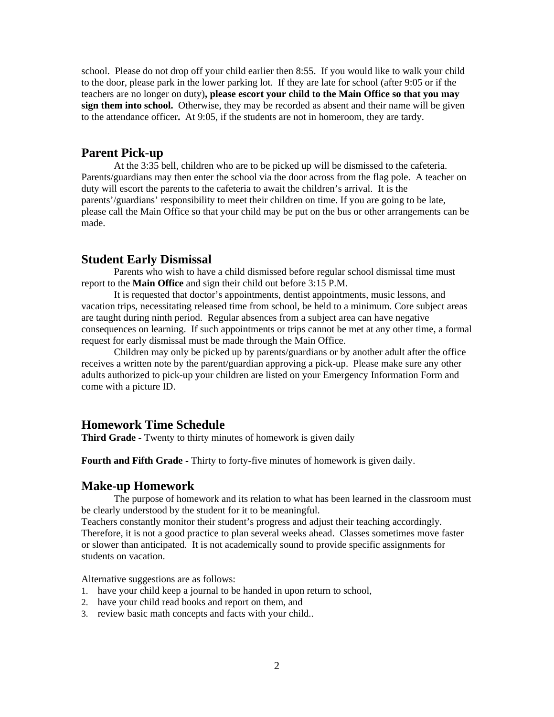school. Please do not drop off your child earlier then 8:55. If you would like to walk your child to the door, please park in the lower parking lot. If they are late for school (after 9:05 or if the teachers are no longer on duty)**, please escort your child to the Main Office so that you may sign them into school.** Otherwise, they may be recorded as absent and their name will be given to the attendance officer**.** At 9:05, if the students are not in homeroom, they are tardy.

#### **Parent Pick-up**

At the 3:35 bell, children who are to be picked up will be dismissed to the cafeteria. Parents/guardians may then enter the school via the door across from the flag pole. A teacher on duty will escort the parents to the cafeteria to await the children's arrival. It is the parents'/guardians' responsibility to meet their children on time. If you are going to be late, please call the Main Office so that your child may be put on the bus or other arrangements can be made.

#### **Student Early Dismissal**

Parents who wish to have a child dismissed before regular school dismissal time must report to the **Main Office** and sign their child out before 3:15 P.M.

It is requested that doctor's appointments, dentist appointments, music lessons, and vacation trips, necessitating released time from school, be held to a minimum. Core subject areas are taught during ninth period. Regular absences from a subject area can have negative consequences on learning. If such appointments or trips cannot be met at any other time, a formal request for early dismissal must be made through the Main Office.

Children may only be picked up by parents/guardians or by another adult after the office receives a written note by the parent/guardian approving a pick-up. Please make sure any other adults authorized to pick-up your children are listed on your Emergency Information Form and come with a picture ID.

# **Homework Time Schedule**

**Third Grade -** Twenty to thirty minutes of homework is given daily

**Fourth and Fifth Grade -** Thirty to forty-five minutes of homework is given daily.

#### **Make-up Homework**

The purpose of homework and its relation to what has been learned in the classroom must be clearly understood by the student for it to be meaningful.

Teachers constantly monitor their student's progress and adjust their teaching accordingly. Therefore, it is not a good practice to plan several weeks ahead. Classes sometimes move faster or slower than anticipated. It is not academically sound to provide specific assignments for students on vacation.

Alternative suggestions are as follows:

- 1. have your child keep a journal to be handed in upon return to school,
- 2. have your child read books and report on them, and
- 3. review basic math concepts and facts with your child..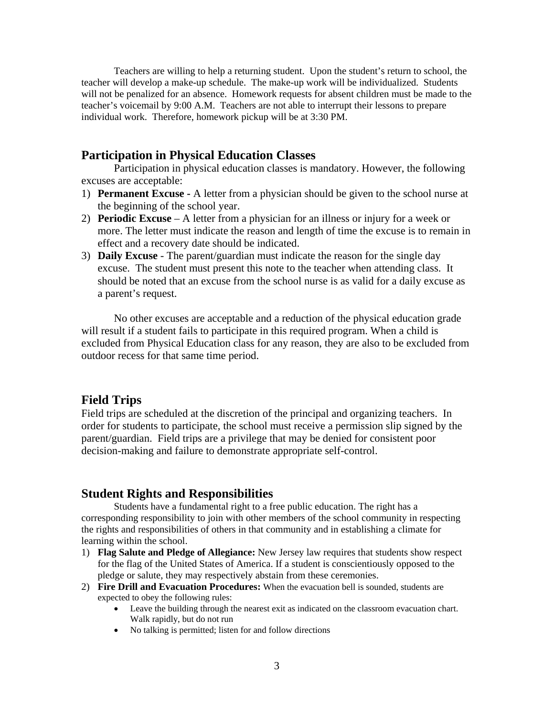Teachers are willing to help a returning student. Upon the student's return to school, the teacher will develop a make-up schedule. The make-up work will be individualized. Students will not be penalized for an absence. Homework requests for absent children must be made to the teacher's voicemail by 9:00 A.M. Teachers are not able to interrupt their lessons to prepare individual work. Therefore, homework pickup will be at 3:30 PM.

### **Participation in Physical Education Classes**

Participation in physical education classes is mandatory. However, the following excuses are acceptable:

- 1) **Permanent Excuse** A letter from a physician should be given to the school nurse at the beginning of the school year.
- 2) **Periodic Excuse**  A letter from a physician for an illness or injury for a week or more. The letter must indicate the reason and length of time the excuse is to remain in effect and a recovery date should be indicated.
- 3) **Daily Excuse** The parent/guardian must indicate the reason for the single day excuse. The student must present this note to the teacher when attending class. It should be noted that an excuse from the school nurse is as valid for a daily excuse as a parent's request.

No other excuses are acceptable and a reduction of the physical education grade will result if a student fails to participate in this required program. When a child is excluded from Physical Education class for any reason, they are also to be excluded from outdoor recess for that same time period.

#### **Field Trips**

Field trips are scheduled at the discretion of the principal and organizing teachers. In order for students to participate, the school must receive a permission slip signed by the parent/guardian. Field trips are a privilege that may be denied for consistent poor decision-making and failure to demonstrate appropriate self-control.

### **Student Rights and Responsibilities**

Students have a fundamental right to a free public education. The right has a corresponding responsibility to join with other members of the school community in respecting the rights and responsibilities of others in that community and in establishing a climate for learning within the school.

- 1) **Flag Salute and Pledge of Allegiance:** New Jersey law requires that students show respect for the flag of the United States of America. If a student is conscientiously opposed to the pledge or salute, they may respectively abstain from these ceremonies.
- 2) **Fire Drill and Evacuation Procedures:** When the evacuation bell is sounded, students are expected to obey the following rules:
	- Leave the building through the nearest exit as indicated on the classroom evacuation chart. Walk rapidly, but do not run
	- No talking is permitted; listen for and follow directions